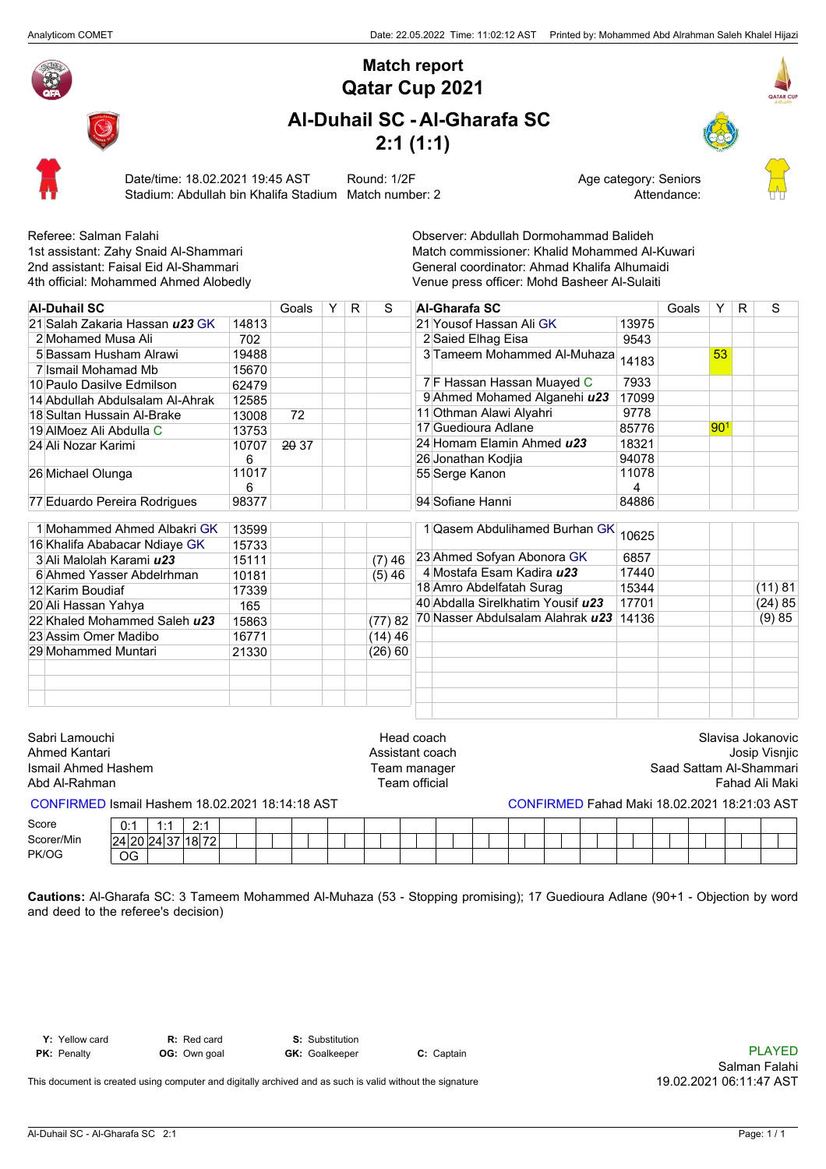

## **Qatar Cup 2021 Match report**

## **Al-Duhail SC - Al-Gharafa SC 2:1 (1:1)**





Date/time: 18.02.2021 19:45 AST Round: 1/2F <br>Stadium: Abdullah bin Khalifa Stadium Match number: 2 Attendance: Stadium: Abdullah bin Khalifa Stadium Match number: 2



Referee: Salman Falahi **Native and Salism Communist Communist Convertion**<br>1st assistant: Zahy Snaid Al-Shammari **Native and Share Communist Communist Communist Communist Communist Communist Communist Communist Communist Co** 1st assistant: Zahy Snaid Al-Shammari and an and the Match commissioner: Khalid Mohammed Al-Kuwari<br>2nd assistant: Faisal Eid Al-Shammari and an an an an an General coordinator: Ahmad Khalifa Alhumaidi 2nd assistant: Faisal Eid Al-Shammari General coordinator: Ahmad Khalifa Alhumaidi<br>4th official: Mohammed Ahmed Alobedly General Conception of Venue press officer: Mohd Basheer Al-Sulaiti Venue press officer: Mohd Basheer Al-Sulaiti

| <b>Al-Duhail SC</b>             |            | Goals | Y. | R. | S        |                            | <b>Al-Gharafa SC</b>                |            | Goals | Y               | R | S       |
|---------------------------------|------------|-------|----|----|----------|----------------------------|-------------------------------------|------------|-------|-----------------|---|---------|
| 21 Salah Zakaria Hassan u23 GK  | 14813      |       |    |    |          |                            | 21 Yousof Hassan Ali GK             | 13975      |       |                 |   |         |
| 2 Mohamed Musa Ali              | 702        |       |    |    |          |                            | 2 Saied Elhag Eisa                  | 9543       |       |                 |   |         |
| 5 Bassam Husham Alrawi          | 19488      |       |    |    |          |                            | 3 Tameem Mohammed Al-Muhaza         | 14183      |       | 53              |   |         |
| 7 Ismail Mohamad Mb             | 15670      |       |    |    |          |                            |                                     |            |       |                 |   |         |
| 10 Paulo Dasilve Edmilson       | 62479      |       |    |    |          |                            | 7 F Hassan Hassan Muayed C          | 7933       |       |                 |   |         |
| 14 Abdullah Abdulsalam Al-Ahrak | 12585      |       |    |    |          |                            | 9 Ahmed Mohamed Alganehi u23        | 17099      |       |                 |   |         |
| 18 Sultan Hussain Al-Brake      | 13008      | 72    |    |    |          |                            | 11 Othman Alawi Alyahri             | 9778       |       |                 |   |         |
| 19 AIMoez Ali Abdulla C         | 13753      |       |    |    |          |                            | 17 Guedioura Adlane                 | 85776      |       | 90 <sup>1</sup> |   |         |
| 24 Ali Nozar Karimi             | 10707      | 2037  |    |    |          |                            | 24 Homam Elamin Ahmed u23           | 18321      |       |                 |   |         |
|                                 | 6          |       |    |    |          |                            | 26 Jonathan Kodjia                  | 94078      |       |                 |   |         |
| 26 Michael Olunga               | 11017<br>6 |       |    |    |          |                            | 55 Serge Kanon                      | 11078<br>4 |       |                 |   |         |
| 77 Eduardo Pereira Rodrigues    | 98377      |       |    |    |          |                            | 94 Sofiane Hanni                    | 84886      |       |                 |   |         |
| 1 Mohammed Ahmed Albakri GK     | 13599      |       |    |    |          |                            | 1 Qasem Abdulihamed Burhan GK 10625 |            |       |                 |   |         |
| 16 Khalifa Ababacar Ndiaye GK   | 15733      |       |    |    |          |                            |                                     |            |       |                 |   |         |
| 3 Ali Malolah Karami u23        | 15111      |       |    |    | $(7)$ 46 | 23 Ahmed Sofyan Abonora GK |                                     | 6857       |       |                 |   |         |
| 6 Ahmed Yasser Abdelrhman       | 10181      |       |    |    | (5) 46   |                            | 4 Mostafa Esam Kadira <i>u</i> 23   | 17440      |       |                 |   |         |
| 12 Karim Boudiaf                | 17339      |       |    |    |          |                            | 18 Amro Abdelfatah Surag            | 15344      |       |                 |   | (11) 81 |
| 20 Ali Hassan Yahya             | 165        |       |    |    |          |                            | 40 Abdalla Sirelkhatim Yousif u23   | 17701      |       |                 |   | (24)85  |
| 22 Khaled Mohammed Saleh u23    | 15863      |       |    |    | (77)82   |                            | 70 Nasser Abdulsalam Alahrak u23    | 14136      |       |                 |   | (9)85   |
| 23 Assim Omer Madibo            | 16771      |       |    |    | (14)46   |                            |                                     |            |       |                 |   |         |
| 29 Mohammed Muntari             | 21330      |       |    |    | (26) 60  |                            |                                     |            |       |                 |   |         |
|                                 |            |       |    |    |          |                            |                                     |            |       |                 |   |         |
|                                 |            |       |    |    |          |                            |                                     |            |       |                 |   |         |

| Sabri Lamouchi      | Head coach      | Slavisa Jokanovic       |
|---------------------|-----------------|-------------------------|
| Ahmed Kantari       | Assistant coach | Josip Visnjic           |
| Ismail Ahmed Hashem | Team manager    | Saad Sattam Al-Shammari |
| Abd Al-Rahman       | Team official   | Fahad Ali Maki          |

## CONFIRMED Ismail Hashem 18.02.2021 18:14:18 AST CONFIRMED Fahad Maki 18.02.2021 18:21:03 AST

| Score      | ۰.,<br>◡. | . .<br>. .      | $\cdots$ |  |  |  |  |  |  |  |  |
|------------|-----------|-----------------|----------|--|--|--|--|--|--|--|--|
| Scorer/Min | 24 20     | $\sim$<br>12437 | `18 72 ⊧ |  |  |  |  |  |  |  |  |
| PK/OG      | OG        |                 |          |  |  |  |  |  |  |  |  |

**Cautions:** Al-Gharafa SC: 3 Tameem Mohammed Al-Muhaza (53 - Stopping promising); 17 Guedioura Adlane (90+1 - Objection by word and deed to the referee's decision)

**Y:** Yellow card **R:** Red card **S:** Substitution

**PK:** Penalty **OG:** Own goal **GK:** Goalkeeper **C:** Captain **C:** Captain **C:** Captain **C:** Captain **C:** Captain **PLAYED** Salman Falahi 19.02.2021 06:11:47 AST

This document is created using computer and digitally archived and as such is valid without the signature